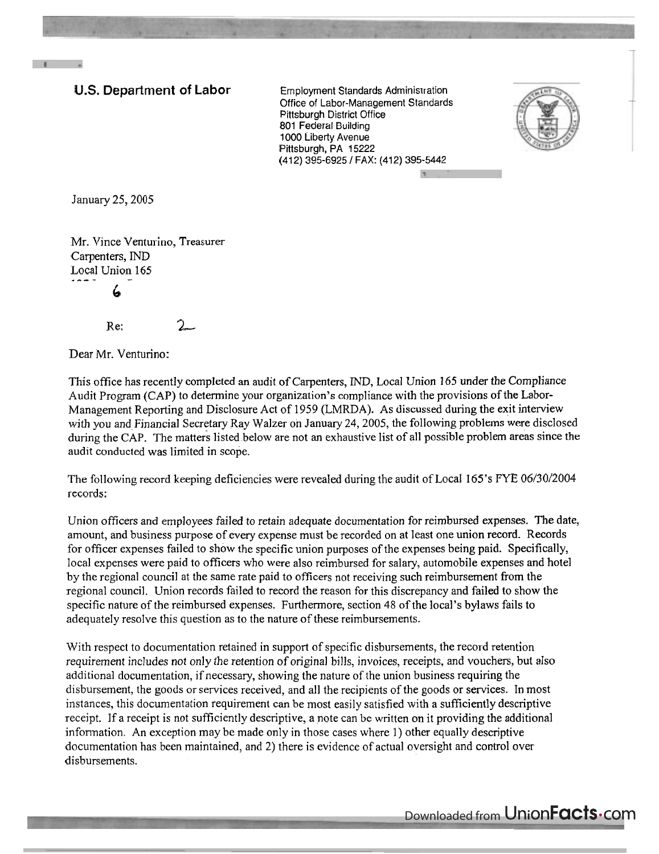## **U.S. Department of Labor** Employment Standards Adminisrration

Office of Labor-Management Standards Pittsburgh District Office 801 Federal Building 1000 Liberty Avenue Pittsburgh, PA 15222 (412) 395-6925 / FAX: (412) 395-5442



January 25,2005

Mr. Vince Venturino, Treasurer Carpenters, IND Local Union 165 *6* 

 $Re: 2$ 

Dear Mr. Venturino:

This office has recently completed an audit of Carpenters, IND, Local Union **165** under the Compliance Audit Program (CAP) to determine your organization's compliance with the provisions of the Labor-Management Reporting and Disclosure Act of 1959 (LMRDA). As discussed during the exit interview with you and Financial Secretary Ray Walzer on January 24,2005, the following problems were disclosed during the CAP. The matters listed below are not an exhaustive list of all possible problem areas since the audit conducted was limited in scope.

The following record keeping deficiencies were revealed during the audit of Local 165's FYE 06/30/2004 records:

Union officers and employees failed to retain adequate documentation for reimbursed expenses. The date, amount, and business purpose of every expense must be recorded on at least one union record. Records for officer expenses failed to show the specific union purposes of the expenses being paid. Specifically, local expenses were paid to officers who were also reimbursed for salary, automobile expenses and hotel by the regional council at the same rate paid to officers not receiving such reimbursement from the regional council. Union records failed to record the reason for this discrepancy and failed to show the specific nature of the reimbursed expenses. Furthermore, section 48 of the local's bylaws fails to adequately resolve this question as to the nature of these reimbursements.

With respect to documentation retained in support of specific disbursements, the record retention requirement includes not only the retention of original bills, invoices, receipts, and vouchers, but also additional documentation, if necessary, showing the nature of the union business requiring the disbursement, the goods or services received, and all the recipients of the goods or services. In most instances, this documentation requirement can be most easily satisfied with a sufficiently descriptive receipt. If a receipt is not sufficiently descriptive, a note can be written on it providing the additional information. An exception may be made only in those cases where 1) other equally descriptive documentation has been maintained, and 2) there is evidence of actual oversight and control over disbursements.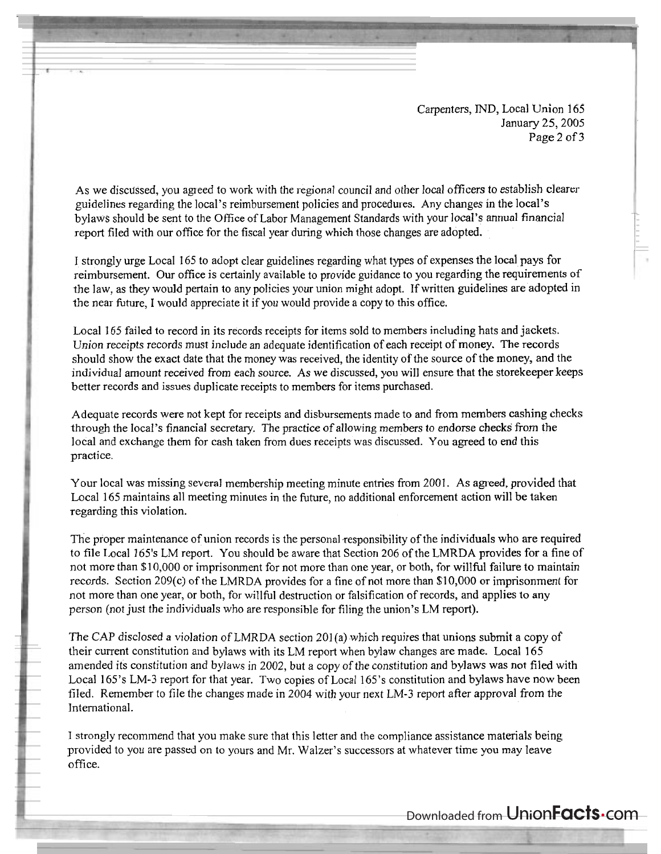Carpenters, IND, Local Union 165 January 25,2005 Page 2 of **3** 

As we discussed, you ageed to work with ihe regional council and other local officers to establish clearer guidelines regarding the local's reimbursement policies and procedures. Any changes in the local's bylaws should be sent to the Office of Labor Management Standards with your local's annual financial report filed with our office for the fiscal year during which those changes are adopted.

I strongly urge Local 165 to adopt clear guidelines regarding what types of expenses the local pays for reimbursement. Our office is certainly available to provide guidance to you regarding the requirements of the law, as they would pertain to any policies your union might adopt. If written guidelines are adopted in the near future, I would appreciate it if you would provide a copy to this office.

Local 165 failed to record in its records receipts for items sold to members including hats and jackets. Union receipts records must include an adequate identification of each receipt of money. The records should show the exact date that the money was received, the identity of the source of the money, and the individual amount received from each source. As we discussed, you will ensure that the storekeeper keeps better records and issues duplicate receipts to members for items purchased.

Adequate records were not kept for receipts and disbursements made to and from members cashing checks through the local's financial secretary. The practice of allowing members to endorse checks' from the local and exchange them for cash taken from dues receipts was discussed. You agreed to end this practice.

Your local was missing several membership meeting minute entries from 2001. As agreed, provided that Local 165 maintains all meeting minutes in the hture, no additional enforcement action will be taken regarding this violation.

The proper maintenance of union records is the personal responsibility of the individuals who are required to file Local 165's LM report. You should be aware that Section 206 of the LMRDA provides for a fine of not more than \$10,000 or imprisonment for not more than one year, or both, for willful failure to maintain records. Section 209(c) of the LMRDA provides for a fine of not more than \$1 0,000 or imprisonment for not more than one year, or both, for willful destruction or falsification of records, and applies to any person (not just the individuals who are responsible for filing the union's LM report).

The CAP disclosed a violation of LMRDA section 201(a) which requires that unions submit a copy of their current constitution and bylaws with its LM report when bylaw changes are made. Local 165 amended its constitution and bylaws in 2002, but a copy of the constitution and bylaws was not filed with Local 165's LM-3 report for that year. Two copies of Local 165's constitution and bylaws have now been filed. Remember to file the changes made in 2004 with your next LM-3 report after approval from the International.

I strongly recommend that you make sure that this letter and the compliance assistance materials being provided to you are passed on to yours and Mr. Walzer's successors at whatever time you may leave office.

Downloaded from UnionFacts.com